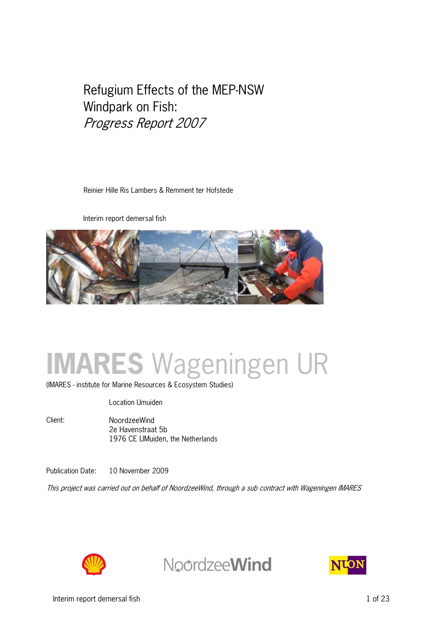# Refugium Effects of the MEP-NSW Windpark on Fish: Progress Report 2007

Reinier Hille Ris Lambers & Remment ter Hofstede

Interim report demersal fish



# **IMARES** Wageningen UR

(IMARES - institute for Marine Resources & Ecosystem Studies)

Location IJmuiden

Client: NoordzeeWind 2e Havenstraat 5b 1976 CE IJMuiden, the Netherlands

Publication Date: 10 November 2009

This project was carried out on behalf of NoordzeeWind, through a sub contract with Wageningen IMARES



**NoordzeeWind** 

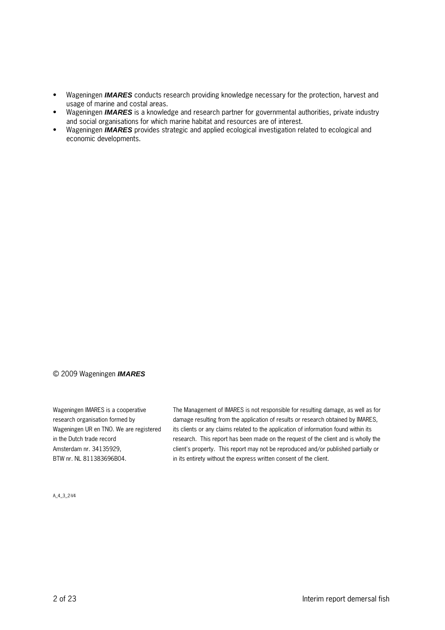- Wageningen **IMARES** conducts research providing knowledge necessary for the protection, harvest and usage of marine and costal areas.
- Wageningen **IMARES** is a knowledge and research partner for governmental authorities, private industry and social organisations for which marine habitat and resources are of interest.
- Wageningen **IMARES** provides strategic and applied ecological investigation related to ecological and economic developments.

#### © 2009 Wageningen **IMARES**

Wageningen IMARES is a cooperative research organisation formed by Wageningen UR en TNO. We are registered in the Dutch trade record Amsterdam nr. 34135929, BTW nr. NL 811383696B04.

The Management of IMARES is not responsible for resulting damage, as well as for damage resulting from the application of results or research obtained by IMARES, its clients or any claims related to the application of information found within its research. This report has been made on the request of the client and is wholly the client's property. This report may not be reproduced and/or published partially or in its entirety without the express written consent of the client.

A\_4\_3\_2V4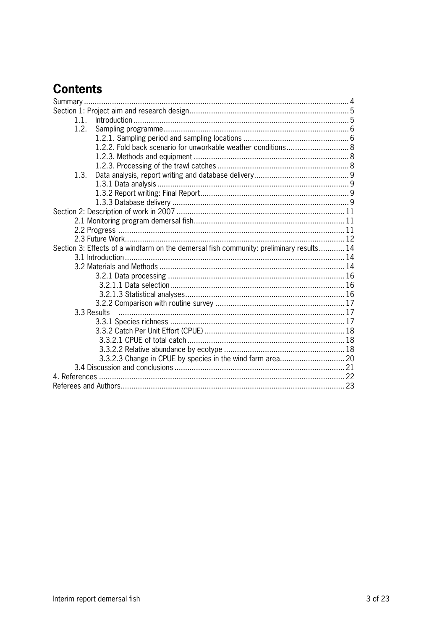# **Contents**

| 1.1.                                                                                    |  |
|-----------------------------------------------------------------------------------------|--|
| 1.2.                                                                                    |  |
|                                                                                         |  |
| 1.2.2. Fold back scenario for unworkable weather conditions 8                           |  |
|                                                                                         |  |
|                                                                                         |  |
| 1.3.                                                                                    |  |
|                                                                                         |  |
|                                                                                         |  |
|                                                                                         |  |
|                                                                                         |  |
|                                                                                         |  |
|                                                                                         |  |
|                                                                                         |  |
| Section 3: Effects of a windfarm on the demersal fish community: preliminary results 14 |  |
|                                                                                         |  |
|                                                                                         |  |
|                                                                                         |  |
|                                                                                         |  |
|                                                                                         |  |
|                                                                                         |  |
| 3.3 Results                                                                             |  |
|                                                                                         |  |
|                                                                                         |  |
|                                                                                         |  |
|                                                                                         |  |
| 3.3.2.3 Change in CPUE by species in the wind farm area 20                              |  |
|                                                                                         |  |
|                                                                                         |  |
|                                                                                         |  |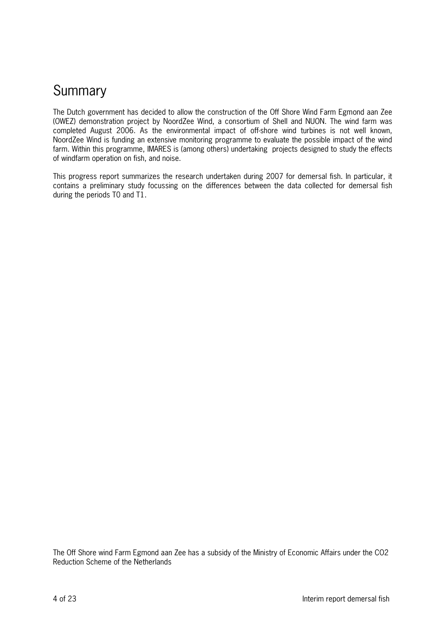# Summary

The Dutch government has decided to allow the construction of the Off Shore Wind Farm Egmond aan Zee (OWEZ) demonstration project by NoordZee Wind, a consortium of Shell and NUON. The wind farm was completed August 2006. As the environmental impact of offshore wind turbines is not well known, NoordZee Wind is funding an extensive monitoring programme to evaluate the possible impact of the wind farm. Within this programme, IMARES is (among others) undertaking projects designed to study the effects of windfarm operation on fish, and noise.

This progress report summarizes the research undertaken during 2007 for demersal fish. In particular, it contains a preliminary study focussing on the differences between the data collected for demersal fish during the periods T0 and T1.

The Off Shore wind Farm Egmond aan Zee has a subsidy of the Ministry of Economic Affairs under the CO2 Reduction Scheme of the Netherlands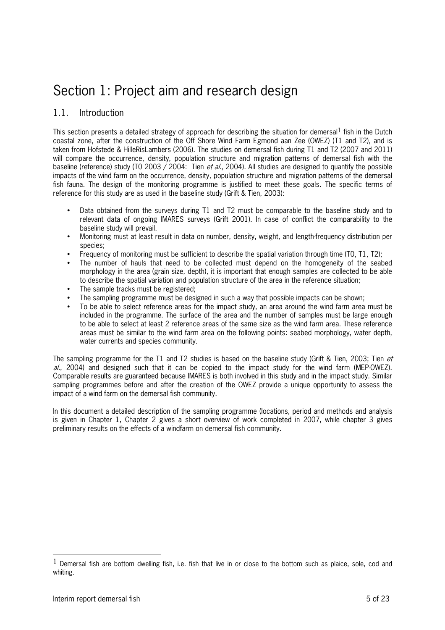# Section 1: Project aim and research design

### 1.1. Introduction

This section presents a detailed strategy of approach for describing the situation for demersal  $\frac{1}{2}$  fish in the Dutch coastal zone, after the construction of the Off Shore Wind Farm Egmond aan Zee (OWEZ) (T1 and T2), and is taken from Hofstede & HilleRisLambers (2006). The studies on demersal fish during T1 and T2 (2007 and 2011) will compare the occurrence, density, population structure and migration patterns of demersal fish with the baseline (reference) study (T0 2003 / 2004: Tien et al., 2004). All studies are designed to quantify the possible impacts of the wind farm on the occurrence, density, population structure and migration patterns of the demersal fish fauna. The design of the monitoring programme is justified to meet these goals. The specific terms of reference for this study are as used in the baseline study (Grift & Tien, 2003):

- Data obtained from the surveys during T1 and T2 must be comparable to the baseline study and to relevant data of ongoing IMARES surveys (Grift 2001). In case of conflict the comparability to the baseline study will prevail.
- Monitoring must at least result in data on number, density, weight, and length-frequency distribution per species;
- Frequency of monitoring must be sufficient to describe the spatial variation through time (T0, T1, T2);
- The number of hauls that need to be collected must depend on the homogeneity of the seabed morphology in the area (grain size, depth), it is important that enough samples are collected to be able to describe the spatial variation and population structure of the area in the reference situation;
- The sample tracks must be registered;
- The sampling programme must be designed in such a way that possible impacts can be shown;
- To be able to select reference areas for the impact study, an area around the wind farm area must be included in the programme. The surface of the area and the number of samples must be large enough to be able to select at least 2 reference areas of the same size as the wind farm area. These reference areas must be similar to the wind farm area on the following points: seabed morphology, water depth, water currents and species community.

The sampling programme for the T1 and T2 studies is based on the baseline study (Grift & Tien, 2003; Tien et  $a$ ., 2004) and designed such that it can be copied to the impact study for the wind farm (MEP-OWEZ). Comparable results are guaranteed because IMARES is both involved in this study and in the impact study. Similar sampling programmes before and after the creation of the OWEZ provide a unique opportunity to assess the impact of a wind farm on the demersal fish community.

In this document a detailed description of the sampling programme (locations, period and methods and analysis is given in Chapter 1, Chapter 2 gives a short overview of work completed in 2007, while chapter 3 gives preliminary results on the effects of a windfarm on demersal fish community.

 $\overline{a}$ 

 $1$  Demersal fish are bottom dwelling fish, i.e. fish that live in or close to the bottom such as plaice, sole, cod and whiting.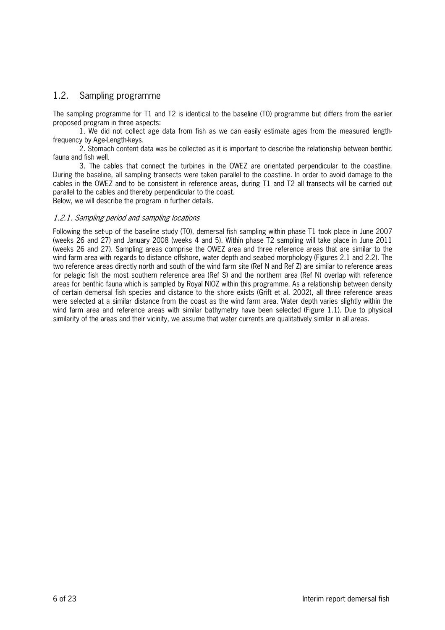### 1.2. Sampling programme

The sampling programme for T1 and T2 is identical to the baseline (T0) programme but differs from the earlier proposed program in three aspects:

1. We did not collect age data from fish as we can easily estimate ages from the measured length frequency by Age-Length-keys.

2. Stomach content data was be collected as it is important to describe the relationship between benthic fauna and fish well.

3. The cables that connect the turbines in the OWEZ are orientated perpendicular to the coastline. During the baseline, all sampling transects were taken parallel to the coastline. In order to avoid damage to the cables in the OWEZ and to be consistent in reference areas, during T1 and T2 all transects will be carried out parallel to the cables and thereby perpendicular to the coast.

Below, we will describe the program in further details.

#### 1.2.1. Sampling period and sampling locations

Following the setup of the baseline study (T0), demersal fish sampling within phase T1 took place in June 2007 (weeks 26 and 27) and January 2008 (weeks 4 and 5). Within phase T2 sampling will take place in June 2011 (weeks 26 and 27). Sampling areas comprise the OWEZ area and three reference areas that are similar to the wind farm area with regards to distance offshore, water depth and seabed morphology (Figures 2.1 and 2.2). The two reference areas directly north and south of the wind farm site (Ref N and Ref Z) are similar to reference areas for pelagic fish the most southern reference area (Ref S) and the northern area (Ref N) overlap with reference areas for benthic fauna which is sampled by Royal NIOZ within this programme. As a relationship between density of certain demersal fish species and distance to the shore exists (Grift et al. 2002), all three reference areas were selected at a similar distance from the coast as the wind farm area. Water depth varies slightly within the wind farm area and reference areas with similar bathymetry have been selected (Figure 1.1). Due to physical similarity of the areas and their vicinity, we assume that water currents are qualitatively similar in all areas.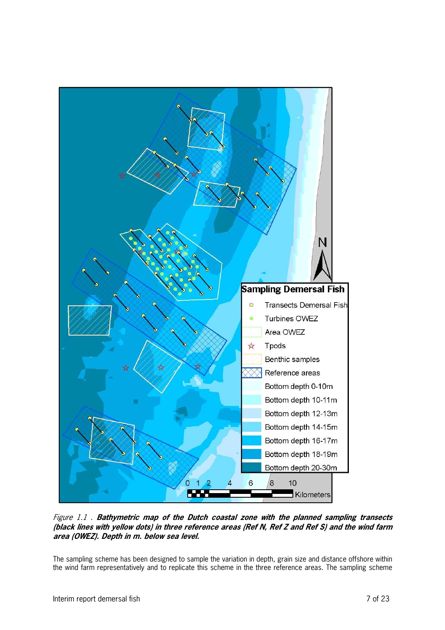

Figure 1.1 . **Bathymetric map of the Dutch coastal zone with the planned sampling transects (black lines with yellow dots) in three reference areas (Ref N, Ref Z and Ref S) and the wind farm area (OWEZ). Depth in m. below sea level.**

The sampling scheme has been designed to sample the variation in depth, grain size and distance offshore within the wind farm representatively and to replicate this scheme in the three reference areas. The sampling scheme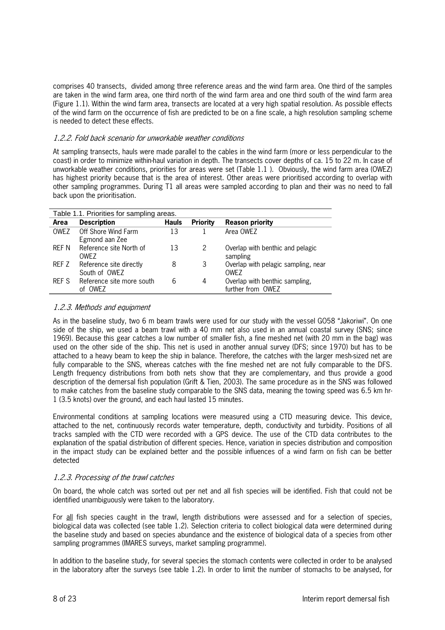comprises 40 transects, divided among three reference areas and the wind farm area. One third of the samples are taken in the wind farm area, one third north of the wind farm area and one third south of the wind farm area (Figure 1.1). Within the wind farm area, transects are located at a very high spatial resolution. As possible effects of the wind farm on the occurrence of fish are predicted to be on a fine scale, a high resolution sampling scheme is needed to detect these effects.

#### 1.2.2. Fold back scenario for unworkable weather conditions

At sampling transects, hauls were made parallel to the cables in the wind farm (more or less perpendicular to the coast) in order to minimize withinhaul variation in depth. The transects cover depths of ca. 15 to 22 m. In case of unworkable weather conditions, priorities for areas were set (Table 1.1 ). Obviously, the wind farm area (OWEZ) has highest priority because that is the area of interest. Other areas were prioritised according to overlap with other sampling programmes. During T1 all areas were sampled according to plan and their was no need to fall back upon the prioritisation.

| Table 1.1. Priorities for sampling areas. |                           |              |                 |                                     |  |
|-------------------------------------------|---------------------------|--------------|-----------------|-------------------------------------|--|
| Area                                      | <b>Description</b>        | <b>Hauls</b> | <b>Priority</b> | <b>Reason priority</b>              |  |
| <b>OWEZ</b>                               | Off Shore Wind Farm       | 13           |                 | Area OWEZ                           |  |
|                                           | Egmond aan Zee            |              |                 |                                     |  |
| RFF N                                     | Reference site North of   | 13           | $\mathcal{P}$   | Overlap with benthic and pelagic    |  |
|                                           | OWF <sub>7</sub>          |              |                 | sampling                            |  |
| REF Z                                     | Reference site directly   | 8            | 3               | Overlap with pelagic sampling, near |  |
|                                           | South of OWEZ             |              |                 | OWF <sub>7</sub>                    |  |
| REF S                                     | Reference site more south | 6            | 4               | Overlap with benthic sampling,      |  |
|                                           | OWEZ<br>оf                |              |                 | further from OWEZ                   |  |

#### 1.2.3. Methods and equipment

As in the baseline study, two 6 m beam trawls were used for our study with the vessel GO58 "Jakoriwi". On one side of the ship, we used a beam trawl with a 40 mm net also used in an annual coastal survey (SNS; since 1969). Because this gear catches a low number of smaller fish, a fine meshed net (with 20 mm in the bag) was used on the other side of the ship. This net is used in another annual survey (DFS; since 1970) but has to be attached to a heavy beam to keep the ship in balance. Therefore, the catches with the larger meshsized net are fully comparable to the SNS, whereas catches with the fine meshed net are not fully comparable to the DFS. Length frequency distributions from both nets show that they are complementary, and thus provide a good description of the demersal fish population (Grift & Tien, 2003). The same procedure as in the SNS was followed to make catches from the baseline study comparable to the SNS data, meaning the towing speed was 6.5 km hr 1 (3.5 knots) over the ground, and each haul lasted 15 minutes.

Environmental conditions at sampling locations were measured using a CTD measuring device. This device, attached to the net, continuously records water temperature, depth, conductivity and turbidity. Positions of all tracks sampled with the CTD were recorded with a GPS device. The use of the CTD data contributes to the explanation of the spatial distribution of different species. Hence, variation in species distribution and composition in the impact study can be explained better and the possible influences of a wind farm on fish can be better detected

#### 1.2.3. Processing of the trawl catches

On board, the whole catch was sorted out per net and all fish species will be identified. Fish that could not be identified unambiguously were taken to the laboratory.

For all fish species caught in the trawl, length distributions were assessed and for a selection of species, biological data was collected (see table 1.2). Selection criteria to collect biological data were determined during the baseline study and based on species abundance and the existence of biological data of a species from other sampling programmes (IMARES surveys, market sampling programme).

In addition to the baseline study, for several species the stomach contents were collected in order to be analysed in the laboratory after the surveys (see table 1.2). In order to limit the number of stomachs to be analysed, for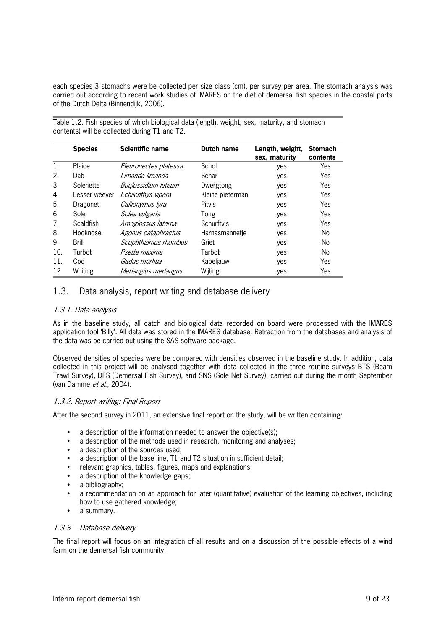each species 3 stomachs were be collected per size class (cm), per survey per area. The stomach analysis was carried out according to recent work studies of IMARES on the diet of demersal fish species in the coastal parts of the Dutch Delta (Binnendijk, 2006).

Table 1.2. Fish species of which biological data (length, weight, sex, maturity, and stomach contents) will be collected during T1 and T2.

|     | <b>Species</b>   | <b>Scientific name</b> | Dutch name       | Length, weight,<br>sex, maturity | <b>Stomach</b><br>contents |
|-----|------------------|------------------------|------------------|----------------------------------|----------------------------|
| 1.  | Plaice           | Pleuronectes platessa  | Schol            | yes                              | Yes                        |
| 2.  | Dab              | Limanda limanda        | Schar            | yes                              | Yes                        |
| 3.  | Solenette        | Buglossidium luteum    | Dwergtong        | yes                              | Yes                        |
| 4.  | Lesser weever    | Echiichthys vipera     | Kleine pieterman | yes                              | Yes                        |
| 5.  | Dragonet         | Callionymus Iyra       | Pitvis           | yes                              | Yes                        |
| 6.  | Sole             | Solea vulgaris         | Tong             | yes                              | Yes                        |
| 7.  | <b>Scaldfish</b> | Arnoglossus laterna    | Schurftvis       | yes                              | Yes                        |
| 8.  | Hooknose         | Agonus cataphractus    | Harnasmannetje   | yes                              | No.                        |
| 9.  | <b>Brill</b>     | Scophthalmus rhombus   | Griet            | yes                              | No.                        |
| 10. | Turbot           | Psetta maxima          | Tarbot           | yes                              | No.                        |
| 11. | Cod              | Gadus morhua           | Kabeljauw        | yes                              | Yes                        |
| 12  | Whiting          | Merlangius merlangus   | Wijting          | yes                              | Yes                        |

### 1.3. Data analysis, report writing and database delivery

#### 1.3.1. Data analysis

As in the baseline study, all catch and biological data recorded on board were processed with the IMARES application tool 'Billy'. All data was stored in the IMARES database. Retraction from the databases and analysis of the data was be carried out using the SAS software package.

Observed densities of species were be compared with densities observed in the baseline study. In addition, data collected in this project will be analysed together with data collected in the three routine surveys BTS (Beam Trawl Survey), DFS (Demersal Fish Survey), and SNS (Sole Net Survey), carried out during the month September (van Damme et al., 2004).

#### 1.3.2. Report writing: Final Report

After the second survey in 2011, an extensive final report on the study, will be written containing:

- a description of the information needed to answer the objective(s);
- a description of the methods used in research, monitoring and analyses;
- a description of the sources used:
- a description of the base line, T1 and T2 situation in sufficient detail;
- relevant graphics, tables, figures, maps and explanations;
- a description of the knowledge gaps;
- a bibliography;
- a recommendation on an approach for later (quantitative) evaluation of the learning objectives, including how to use gathered knowledge;
- a summary.

#### 1.3.3 Database delivery

The final report will focus on an integration of all results and on a discussion of the possible effects of a wind farm on the demersal fish community.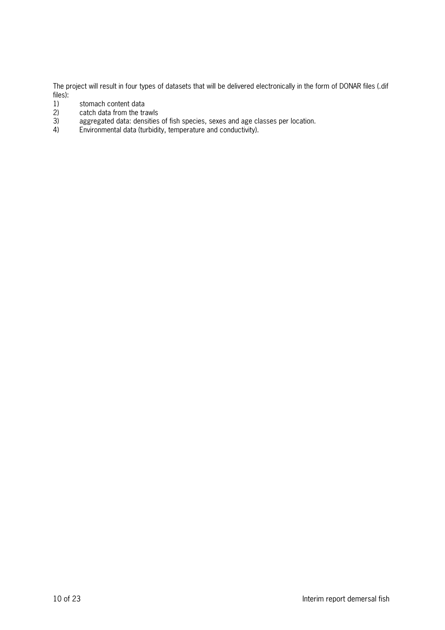The project will result in four types of datasets that will be delivered electronically in the form of DONAR files (.dif files):<br> $1)$ 

- 1) stomach content data<br>2) catch data from the tra
- 2) catch data from the trawls<br>3) aggregated data: densities
- 3) aggregated data: densities of fish species, sexes and age classes per location.
- 4) Environmental data (turbidity, temperature and conductivity).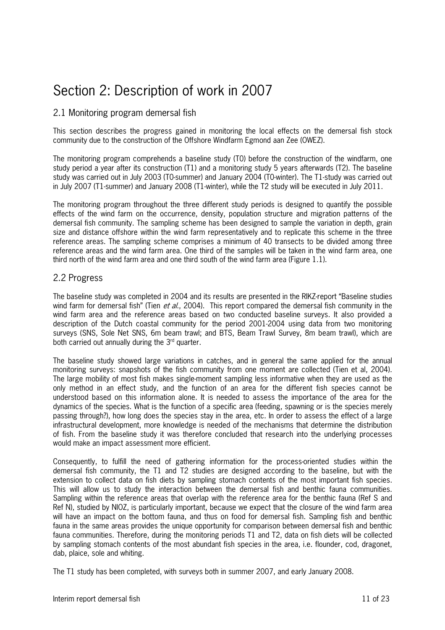# Section 2: Description of work in 2007

### 2.1 Monitoring program demersal fish

This section describes the progress gained in monitoring the local effects on the demersal fish stock community due to the construction of the Offshore Windfarm Egmond aan Zee (OWEZ).

The monitoring program comprehends a baseline study (T0) before the construction of the windfarm, one study period a year after its construction (T1) and a monitoring study 5 years afterwards (T2). The baseline study was carried out in July 2003 (T0-summer) and January 2004 (T0-winter). The T1-study was carried out in July 2007 (T1-summer) and January 2008 (T1-winter), while the T2 study will be executed in July 2011.

The monitoring program throughout the three different study periods is designed to quantify the possible effects of the wind farm on the occurrence, density, population structure and migration patterns of the demersal fish community. The sampling scheme has been designed to sample the variation in depth, grain size and distance offshore within the wind farm representatively and to replicate this scheme in the three reference areas. The sampling scheme comprises a minimum of 40 transects to be divided among three reference areas and the wind farm area. One third of the samples will be taken in the wind farm area, one third north of the wind farm area and one third south of the wind farm area (Figure 1.1).

### 2.2 Progress

The baseline study was completed in 2004 and its results are presented in the RIKZreport "Baseline studies wind farm for demersal fish" (Tien et al., 2004). This report compared the demersal fish community in the wind farm area and the reference areas based on two conducted baseline surveys. It also provided a description of the Dutch coastal community for the period 20012004 using data from two monitoring surveys (SNS, Sole Net SNS, 6m beam trawl; and BTS, Beam Trawl Survey, 8m beam trawl), which are both carried out annually during the  $3<sup>rd</sup>$  quarter.

The baseline study showed large variations in catches, and in general the same applied for the annual monitoring surveys: snapshots of the fish community from one moment are collected (Tien et al, 2004). The large mobility of most fish makes singlemoment sampling less informative when they are used as the only method in an effect study, and the function of an area for the different fish species cannot be understood based on this information alone. It is needed to assess the importance of the area for the dynamics of the species. What is the function of a specific area (feeding, spawning or is the species merely passing through?), how long does the species stay in the area, etc. In order to assess the effect of a large infrastructural development, more knowledge is needed of the mechanisms that determine the distribution of fish. From the baseline study it was therefore concluded that research into the underlying processes would make an impact assessment more efficient.

Consequently, to fulfill the need of gathering information for the process-oriented studies within the demersal fish community, the T1 and T2 studies are designed according to the baseline, but with the extension to collect data on fish diets by sampling stomach contents of the most important fish species. This will allow us to study the interaction between the demersal fish and benthic fauna communities. Sampling within the reference areas that overlap with the reference area for the benthic fauna (Ref S and Ref N), studied by NIOZ, is particularly important, because we expect that the closure of the wind farm area will have an impact on the bottom fauna, and thus on food for demersal fish. Sampling fish and benthic fauna in the same areas provides the unique opportunity for comparison between demersal fish and benthic fauna communities. Therefore, during the monitoring periods T1 and T2, data on fish diets will be collected by sampling stomach contents of the most abundant fish species in the area, i.e. flounder, cod, dragonet, dab, plaice, sole and whiting.

The T1 study has been completed, with surveys both in summer 2007, and early January 2008.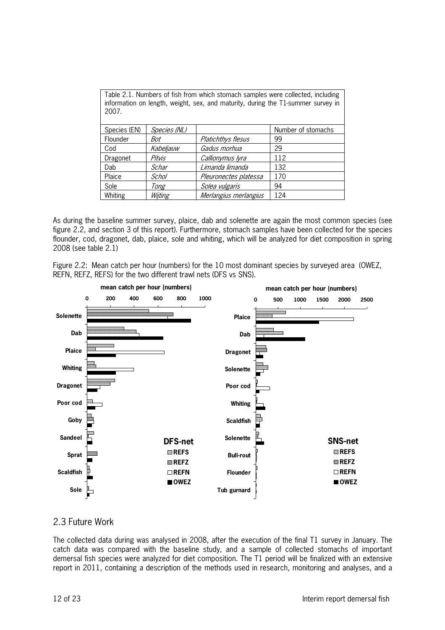| Table 2.1. Numbers of fish from which stomach samples were collected, including  |
|----------------------------------------------------------------------------------|
| information on length, weight, sex, and maturity, during the T1-summer survey in |
| 2007.                                                                            |

| Species (EN) | Species (NL) |                       | Number of stomachs |
|--------------|--------------|-----------------------|--------------------|
| Flounder     | Bot          | Platichthys flesus    | 99                 |
| Cod          | Kabeljauw    | Gadus morhua          | 29                 |
| Dragonet     | Pitvis       | Callionymus lyra      | 112                |
| Dab          | Schar        | Limanda limanda       | 132                |
| Plaice       | Schol        | Pleuronectes platessa | 170                |
| Sole         | Tong         | Solea vulgaris        | 94                 |
| Whiting      | Wijting      | Merlangius merlangius | 124                |

As during the baseline summer survey, plaice, dab and solenette are again the most common species (see figure 2.2, and section 3 of this report). Furthermore, stomach samples have been collected for the species flounder, cod, dragonet, dab, plaice, sole and whiting, which will be analyzed for diet composition in spring 2008 (see table 2.1)

Figure 2.2: Mean catch per hour (numbers) for the 10 most dominant species by surveyed area (OWEZ, REFN, REFZ, REFS) for the two different trawl nets (DFS vs SNS).



### 2.3 Future Work

The collected data during was analysed in 2008, after the execution of the final T1 survey in January. The catch data was compared with the baseline study, and a sample of collected stomachs of important demersal fish species were analyzed for diet composition. The T1 period will be finalized with an extensive report in 2011, containing a description of the methods used in research, monitoring and analyses, and a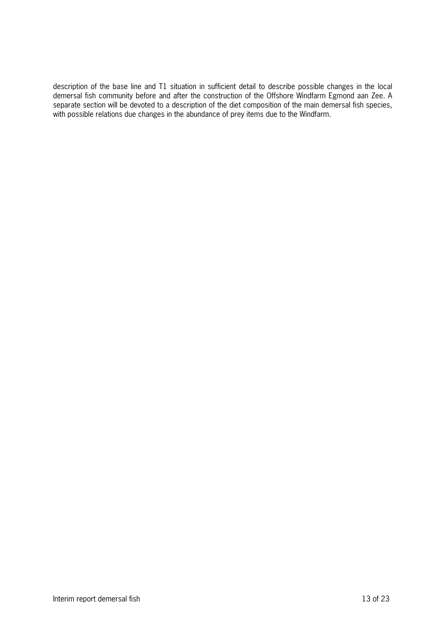description of the base line and T1 situation in sufficient detail to describe possible changes in the local demersal fish community before and after the construction of the Offshore Windfarm Egmond aan Zee. A separate section will be devoted to a description of the diet composition of the main demersal fish species, with possible relations due changes in the abundance of prey items due to the Windfarm.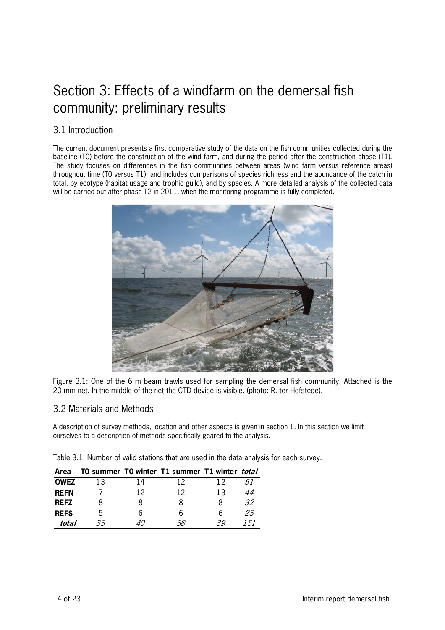# Section 3: Effects of a windfarm on the demersal fish community: preliminary results

### 3.1 Introduction

The current document presents a first comparative study of the data on the fish communities collected during the baseline (T0) before the construction of the wind farm, and during the period after the construction phase (T1). The study focuses on differences in the fish communities between areas (wind farm versus reference areas) throughout time (T0 versus T1), and includes comparisons of species richness and the abundance of the catch in total, by ecotype (habitat usage and trophic guild), and by species. A more detailed analysis of the collected data will be carried out after phase T2 in 2011, when the monitoring programme is fully completed.



Figure 3.1: One of the 6 m beam trawls used for sampling the demersal fish community. Attached is the 20 mm net. In the middle of the net the CTD device is visible. (photo: R. ter Hofstede).

#### 3.2 Materials and Methods

A description of survey methods, location and other aspects is given in section 1. In this section we limit ourselves to a description of methods specifically geared to the analysis.

|  |  |  | Table 3.1: Number of valid stations that are used in the data analysis for each survey. |
|--|--|--|-----------------------------------------------------------------------------------------|
|--|--|--|-----------------------------------------------------------------------------------------|

| Area        |              |    | TO summer TO winter T1 summer T1 winter total |    |    |
|-------------|--------------|----|-----------------------------------------------|----|----|
| <b>OWEZ</b> | 13           |    | 12                                            |    |    |
| <b>REFN</b> |              | 12 | 12                                            | 13 | 44 |
| <b>REFZ</b> |              |    |                                               |    | 32 |
| <b>REFS</b> | $\mathsf{h}$ | h  |                                               |    | 23 |
| total       |              |    |                                               |    |    |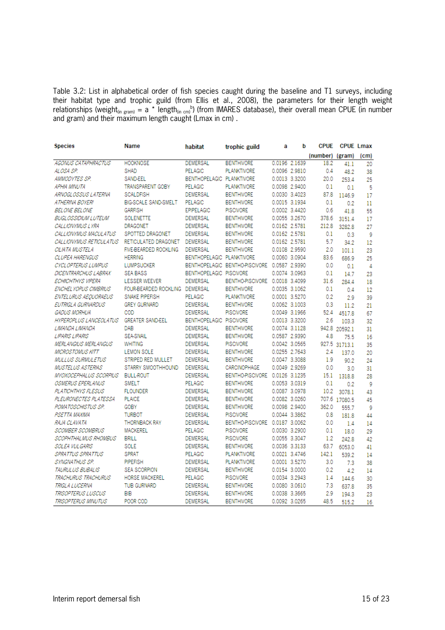Table 3.2: List in alphabetical order of fish species caught during the baseline and T1 surveys, including their habitat type and trophic guild (from Ellis et al., 2008), the parameters for their length weight relationships (weight<sub>(in gram)</sub> = a \* length<sub>(in cm)</sub><sup>b</sup>) (from IMARES database), their overall mean CPUE (in number and gram) and their maximum length caught (Lmax in cm) .

| (number) (gram)                                                                                                             | (c <sub>m</sub> ) |
|-----------------------------------------------------------------------------------------------------------------------------|-------------------|
|                                                                                                                             |                   |
| <b>AGONUS CATAPHRACTUS</b><br><b>HOOKNOSE</b><br><b>DEMERSAL</b><br><b>BENTHIVORE</b><br>0.0196 2.1639<br>18.2              | 41.1<br>20        |
| ALOSA SP.<br><b>SHAD</b><br>PELAGIC<br><b>PLANKTIVORE</b><br>0.0096 2.9810<br>0.4                                           | 48.2<br>38        |
| 0.0013 3.3200<br>AMMODYTES SP.<br><b>SAND-EEL</b><br>BENTHOPELAGIC PLANKTIVORE<br>20.0<br>253.4                             | 25                |
| 0.0098 2.9400<br>APHIA MINUTA<br><b>TRANSPARENT GOBY</b><br><b>PELAGIC</b><br><b>PLANKTIVORE</b><br>0.1                     | 5<br>0.1          |
| 0.0030 3.4023<br>ARNOGLOSSUS LATERNA<br><b>SCALDFISH</b><br><b>DEMERSAL</b><br><b>BENTHIVORE</b><br>87.8<br>1146.9          | 17                |
| 0.0015 3.1934<br>ATHERINA BOYERI<br><b>BIG-SCALE SAND-SMELT</b><br><b>PELAGIC</b><br><b>BENTHIVORE</b><br>0.1               | 0.2<br>11         |
| 0.0002 3.4420<br><b>BELONE BELONE</b><br><b>GARFISH</b><br><b>EPIPELAGIC</b><br><b>PISCIVORE</b><br>0.6                     | 55<br>41.8        |
| 0.0055 3.2670<br><b>BUGLOSSIDIUM LUTEUM</b><br><b>SOLENETTE</b><br><b>DEMERSAL</b><br><b>BENTHIVORE</b><br>378.6<br>3151.4  | 17                |
| <b>DEMERSAL</b><br>0.0162 2.5781<br>212.8<br>CALLIONYMUS LYRA<br><b>DRAGONET</b><br><b>BENTHIVORE</b><br>3282.8             | 27                |
| 0.0162 2.5781<br>CALLIONYMUS MACULATUS<br>SPOTTED DRAGONET<br><b>DEMERSAL</b><br><b>BENTHIVORE</b><br>0.1                   | 9<br>0.3          |
| CALLIONYMUS RETICULATUS<br><b>DEMERSAL</b><br><b>BENTHIVORE</b><br>0.0162 2.5781<br>5.7<br>RETICULATED DRAGONET             | 34.2<br>12        |
| 0.0108 2.9590<br>CILIATA MUSTELA<br><b>FIVE-BEARDED ROCKLING</b><br><b>DEMERSAL</b><br><b>BENTHIVORE</b><br>2.0<br>101.1    | 23                |
| CLUPEA HARENGUS<br><b>HERRING</b><br>0.0060 3.0904<br>83.6<br><b>BENTHOPELAGIC PLANKTIVORE</b><br>686.9                     | 25                |
| <b>LUMPSUCKER</b><br>BENTHOPELAGIC BENTHO-PISCIVORE 0.0587 2.9390<br>CYCLOPTERUS LUMPUS<br>0.0                              | 4<br>0.1          |
| DICENTRARCHUS LABRAX<br><b>SEA BASS</b><br>BENTHOPELAGIC PISCIVORE<br>0.0074 3.0963<br>0.1                                  | 14.7<br>23        |
| <b>DEMERSAL</b><br>BENTHO-PISCIVORE 0.0018 3.4099<br>ECHIICHTHYS VIPERA<br><b>LESSER WEEVER</b><br>31.6<br>284.4            | 18                |
| ENCHELYOPUS CIMBRIUS<br><b>FOUR-BEARDED ROCKLING</b><br>DEMERSAL<br><b>BENTHIVORE</b><br>0.0035 3.1062<br>0.1               | 0.4<br>12         |
| SNAKE PIPEFISH<br><b>PELAGIC</b><br><b>PLANKTIVORE</b><br>0.0001 3.5270<br>ENTELURUS AEQUORAEUS<br>0.2                      | 2.9<br>39         |
| EUTRIGLA GURNARDUS<br><b>GREY GURNARD</b><br><b>DEMERSAL</b><br><b>BENTHIVORE</b><br>0.0062 3.1003<br>0.3                   | 11.2<br>21        |
| 0.0049 3.1966<br>GADUS MORHUA<br>COD<br><b>DEMERSAL</b><br><b>PISCIVORE</b><br>52.4<br>4517.8                               | 67                |
| 0.0013 3.3200<br><b>HYPEROPLUS LANCEOLATUS</b><br><b>GREATER SAND-EEL</b><br><b>BENTHOPELAGIC PISCIVORE</b><br>2.6<br>103.3 | 32                |
| DAB<br><b>DEMERSAL</b><br><b>BENTHIVORE</b><br>0.0074 3.1128<br>942.8 20592.1<br>LIMANDA LIMANDA                            | 31                |
| 0.0587 2.9390<br><b>LIPARIS LIPARIS</b><br><b>SEA-SNAIL</b><br><b>DEMERSAL</b><br><b>BENTHIVORE</b><br>4.8                  | 16<br>75.5        |
| <b>MERLANGIUS MERLANGUS</b><br><b>WHITING</b><br><b>DEMERSAL</b><br><b>PISCIVORE</b><br>0.0042 3.0565<br>927.5 31713.1      | 35                |
| 0.0255 2.7643<br><b>MICROSTOMUS KITT</b><br><b>LEMON SOLE</b><br><b>DEMERSAL</b><br><b>BENTHIVORE</b><br>2.4<br>137.0       | 20                |
| 0.0047 3.3088<br><b>MULLUS SURMULETUS</b><br>STRIPED RED MULLET<br>DEMERSAL<br><b>BENTHIVORE</b><br>1.9                     | 24<br>90.2        |
| 0.0049 2.9269<br><b>MUSTELUS ASTERIAS</b><br>STARRY SMOOTHHOUND<br><b>DEMERSAL</b><br>CARCINOPHAGE<br>0.0                   | 3.0<br>31         |
| BENTHO-PISCIVORE 0.0126 3.1235<br>MYOXOCEPHALUS SCORPIUS<br><b>BULL-ROUT</b><br><b>DEMERSAL</b><br>15.1<br>1318.8           | 28                |
| OSMERUS EPERLANUS<br><b>SMELT</b><br><b>PELAGIC</b><br>0.0053 3.0319<br>0.1<br><b>BENTHIVORE</b>                            | 9<br>0.2          |
| <b>FLOUNDER</b><br>0.0087 3.0978<br>PLATICHTHYS FLESUS<br><b>DEMERSAL</b><br><b>BENTHIVORE</b><br>10.2<br>3078.1            | 43                |
| PLEURONECTES PLATESSA<br><b>PLAICE</b><br><b>BENTHIVORE</b><br>0.0082 3.0260<br>707.6 17080.5<br><b>DEMERSAL</b>            | 45                |
| <b>GOBY</b><br>0.0098 2.9400<br>362.0<br>POMATOSCHISTUS SP.<br><b>DEMERSAL</b><br><b>BENTHIVORE</b><br>555.7                | 9                 |
| PSETTA MAXIMA<br><b>TURBOT</b><br><b>DEMERSAL</b><br>0.0044 3.3862<br><b>PISCIVORE</b><br>0.8<br>181.8                      | 44                |
| <b>THORNBACK RAY</b><br>BENTHO-PISCIVORE 0.0187 3.0062<br>RAJA CLAVATA<br><b>DEMERSAL</b><br>0.0                            | 1.4<br>14         |
| <b>SCOMBER SCOMBRUS</b><br><b>MACKEREL</b><br><b>PELAGIC</b><br><b>PISCIVORE</b><br>0.0030 3.2900<br>0.1                    | 18.0<br>29        |
| 0.0055 3.3047<br>SCOPHTHALMUS RHOMBUS<br><b>BRILL</b><br><b>DEMERSAL</b><br><b>PISCIVORE</b><br>1.2<br>242.8                | 42                |
| 0.0036 3.3133<br>SOLEA VULGARIS<br><b>SOLE</b><br><b>DEMERSAL</b><br><b>BENTHIVORE</b><br>63.7<br>6053.0                    | 41                |
| <b>SPRAT</b><br>SPRATTUS SPRATTUS<br>PELAGIC<br>0.0021 3.4746<br>142.1<br><b>PLANKTIVORE</b><br>539.2                       | 14                |
| SYNGNATHUS SP.<br>PIPEFISH<br><b>DEMERSAL</b><br>0.0001 3.5270<br>3.0<br><b>PLANKTIVORE</b>                                 | 7.3<br>38         |
| TAURULUS BUBALIS<br><b>SEA SCORPION</b><br><b>DEMERSAL</b><br><b>BENTHIVORE</b><br>0.0154 3.0000<br>0.2                     | 4.2<br>14         |
| TRACHURUS TRACHURUS<br>HORSE MACKEREL<br>PELAGIC<br><b>PISCIVORE</b><br>0.0034 3.2943<br>1.4<br>144.6                       | 30                |
| 0.0080 3.0610<br>TRIGLA LUCERNA<br><b>TUB GURNARD</b><br><b>DEMERSAL</b><br><b>BENTHIVORE</b><br>7.3<br>637.8               | 35                |
| TRISOPTERUS LUSCUS<br>BIB<br><b>DEMERSAL</b><br>0.0038 3.3665<br>2.9<br><b>BENTHIVORE</b><br>194.3                          | 23                |
| POOR COD<br>0.0092 3.0265<br>TRISOPTERUS MINUTUS<br><b>DEMERSAL</b><br><b>BENTHIVORE</b><br>48.5<br>515.2                   | 16                |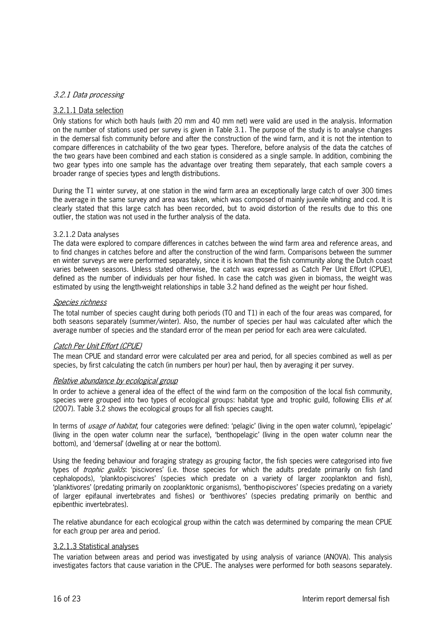#### 3.2.1 Data processing

#### 3.2.1.1 Data selection

Only stations for which both hauls (with 20 mm and 40 mm net) were valid are used in the analysis. Information on the number of stations used per survey is given in Table 3.1. The purpose of the study is to analyse changes in the demersal fish community before and after the construction of the wind farm, and it is not the intention to compare differences in catchability of the two gear types. Therefore, before analysis of the data the catches of the two gears have been combined and each station is considered as a single sample. In addition, combining the two gear types into one sample has the advantage over treating them separately, that each sample covers a broader range of species types and length distributions.

During the T1 winter survey, at one station in the wind farm area an exceptionally large catch of over 300 times the average in the same survey and area was taken, which was composed of mainly juvenile whiting and cod. It is clearly stated that this large catch has been recorded, but to avoid distortion of the results due to this one outlier, the station was not used in the further analysis of the data.

#### 3.2.1.2 Data analyses

The data were explored to compare differences in catches between the wind farm area and reference areas, and to find changes in catches before and after the construction of the wind farm. Comparisons between the summer en winter surveys are were performed separately, since it is known that the fish community along the Dutch coast varies between seasons. Unless stated otherwise, the catch was expressed as Catch Per Unit Effort (CPUE), defined as the number of individuals per hour fished. In case the catch was given in biomass, the weight was estimated by using the lengthweight relationships in table 3.2 hand defined as the weight per hour fished.

#### Species richness

The total number of species caught during both periods (T0 and T1) in each of the four areas was compared, for both seasons separately (summer/winter). Also, the number of species per haul was calculated after which the average number of species and the standard error of the mean per period for each area were calculated.

#### Catch Per Unit Effort (CPUE)

The mean CPUE and standard error were calculated per area and period, for all species combined as well as per species, by first calculating the catch (in numbers per hour) per haul, then by averaging it per survey.

#### Relative abundance by ecological group

In order to achieve a general idea of the effect of the wind farm on the composition of the local fish community, species were grouped into two types of ecological groups: habitat type and trophic guild, following Ellis et al. (2007). Table 3.2 shows the ecological groups for all fish species caught.

In terms of *usage of habitat*, four categories were defined: 'pelagic' (living in the open water column), 'epipelagic' (living in the open water column near the surface), 'benthopelagic' (living in the open water column near the bottom), and 'demersal' (dwelling at or near the bottom).

Using the feeding behaviour and foraging strategy as grouping factor, the fish species were categorised into five types of *trophic guilds*: 'piscivores' (i.e. those species for which the adults predate primarily on fish (and cephalopods), 'plankto-piscivores' (species which predate on a variety of larger zooplankton and fish), 'planktivores' (predating primarily on zooplanktonic organisms), 'benthopiscivores' (species predating on a variety of larger epifaunal invertebrates and fishes) or 'benthivores' (species predating primarily on benthic and epibenthic invertebrates).

The relative abundance for each ecological group within the catch was determined by comparing the mean CPUE for each group per area and period.

#### 3.2.1.3 Statistical analyses

The variation between areas and period was investigated by using analysis of variance (ANOVA). This analysis investigates factors that cause variation in the CPUE. The analyses were performed for both seasons separately.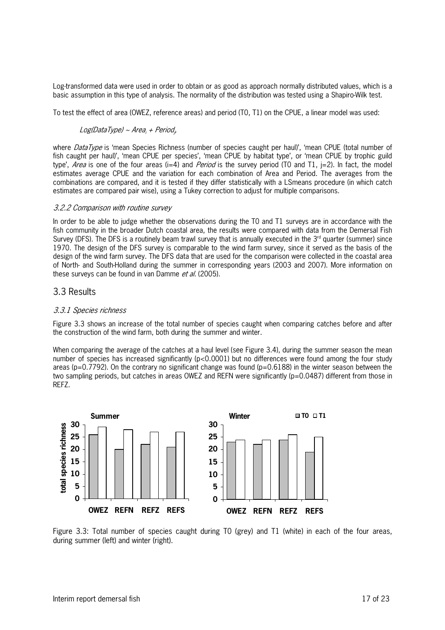Log-transformed data were used in order to obtain or as good as approach normally distributed values, which is a basic assumption in this type of analysis. The normality of the distribution was tested using a ShapiroWilk test.

To test the effect of area (OWEZ, reference areas) and period (T0, T1) on the CPUE, a linear model was used:

#### Log(DataType) ~ Area<sub>i</sub> + Period<sub>i</sub>,

where *DataType* is 'mean Species Richness (number of species caught per haul)', 'mean CPUE (total number of fish caught per haul)', 'mean CPUE per species', 'mean CPUE by habitat type', or 'mean CPUE by trophic guild type', Area is one of the four areas (i=4) and Period is the survey period (TO and T1, j=2). In fact, the model estimates average CPUE and the variation for each combination of Area and Period. The averages from the combinations are compared, and it is tested if they differ statistically with a LSmeans procedure (in which catch estimates are compared pair wise), using a Tukey correction to adjust for multiple comparisons.

#### 3.2.2 Comparison with routine survey

In order to be able to judge whether the observations during the T0 and T1 surveys are in accordance with the fish community in the broader Dutch coastal area, the results were compared with data from the Demersal Fish Survey (DFS). The DFS is a routinely beam trawl survey that is annually executed in the  $3<sup>rd</sup>$  quarter (summer) since 1970. The design of the DFS survey is comparable to the wind farm survey, since it served as the basis of the design of the wind farm survey. The DFS data that are used for the comparison were collected in the coastal area of North and SouthHolland during the summer in corresponding years (2003 and 2007). More information on these surveys can be found in van Damme et al. (2005).

#### 3.3 Results

#### 3.3.1 Species richness

Figure 3.3 shows an increase of the total number of species caught when comparing catches before and after the construction of the wind farm, both during the summer and winter.

When comparing the average of the catches at a haul level (see Figure 3.4), during the summer season the mean number of species has increased significantly (p<0.0001) but no differences were found among the four study areas ( $p=0.7792$ ). On the contrary no significant change was found ( $p=0.6188$ ) in the winter season between the two sampling periods, but catches in areas OWEZ and REFN were significantly (p=0.0487) different from those in REFZ.



Figure 3.3: Total number of species caught during T0 (grey) and T1 (white) in each of the four areas, during summer (left) and winter (right).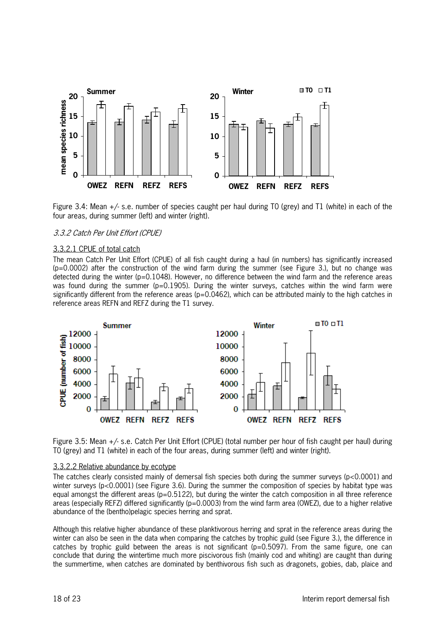

Figure 3.4: Mean  $+/-$  s.e. number of species caught per haul during TO (grey) and T1 (white) in each of the four areas, during summer (left) and winter (right).

#### 3.3.2 Catch Per Unit Effort (CPUE)

#### 3.3.2.1 CPUE of total catch

The mean Catch Per Unit Effort (CPUE) of all fish caught during a haul (in numbers) has significantly increased  $(p=0.0002)$  after the construction of the wind farm during the summer (see Figure 3.), but no change was detected during the winter (p=0.1048). However, no difference between the wind farm and the reference areas was found during the summer ( $p=0.1905$ ). During the winter surveys, catches within the wind farm were significantly different from the reference areas ( $p=0.0462$ ), which can be attributed mainly to the high catches in reference areas REFN and REFZ during the T1 survey.



Figure 3.5: Mean +/ s.e. Catch Per Unit Effort (CPUE) (total number per hour of fish caught per haul) during T0 (grey) and T1 (white) in each of the four areas, during summer (left) and winter (right).

#### 3.3.2.2 Relative abundance by ecotype

The catches clearly consisted mainly of demersal fish species both during the summer surveys (p<0.0001) and winter surveys (p<0.0001) (see Figure 3.6). During the summer the composition of species by habitat type was equal amongst the different areas ( $p=0.5122$ ), but during the winter the catch composition in all three reference areas (especially REFZ) differed significantly ( $p=0.0003$ ) from the wind farm area (OWEZ), due to a higher relative abundance of the (bentho)pelagic species herring and sprat.

Although this relative higher abundance of these planktivorous herring and sprat in the reference areas during the winter can also be seen in the data when comparing the catches by trophic guild (see Figure 3.), the difference in catches by trophic guild between the areas is not significant  $(p=0.5097)$ . From the same figure, one can conclude that during the wintertime much more piscivorous fish (mainly cod and whiting) are caught than during the summertime, when catches are dominated by benthivorous fish such as dragonets, gobies, dab, plaice and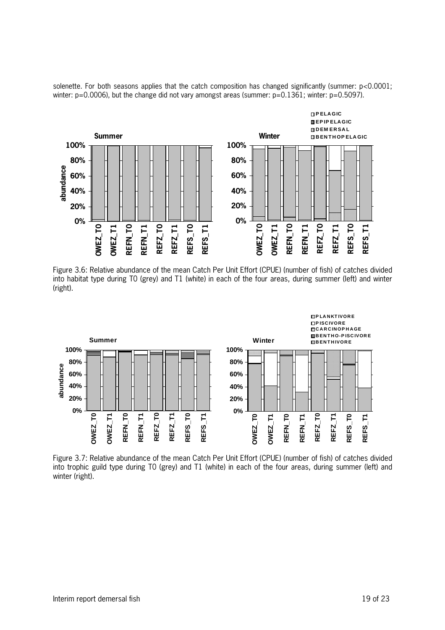solenette. For both seasons applies that the catch composition has changed significantly (summer: p<0.0001; winter: p=0.0006), but the change did not vary amongst areas (summer: p=0.1361; winter: p=0.5097).



Figure 3.6: Relative abundance of the mean Catch Per Unit Effort (CPUE) (number of fish) of catches divided into habitat type during T0 (grey) and T1 (white) in each of the four areas, during summer (left) and winter (right).



Figure 3.7: Relative abundance of the mean Catch Per Unit Effort (CPUE) (number of fish) of catches divided into trophic guild type during T0 (grey) and T1 (white) in each of the four areas, during summer (left) and winter (right).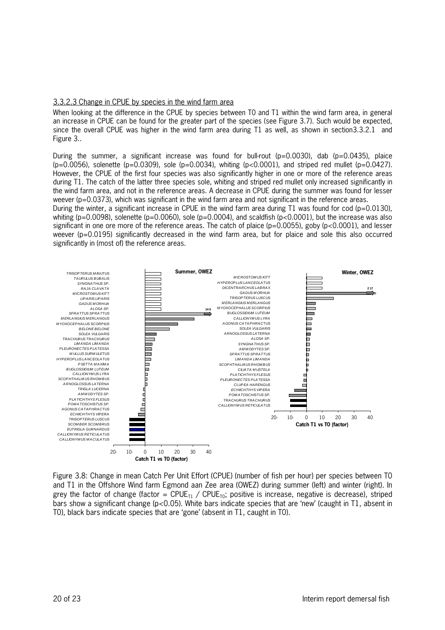#### 3.3.2.3 Change in CPUE by species in the wind farm area

When looking at the difference in the CPUE by species between T0 and T1 within the wind farm area, in general an increase in CPUE can be found for the greater part of the species (see Figure 3.7). Such would be expected, since the overall CPUE was higher in the wind farm area during T1 as well, as shown in section3.3.2.1 and Figure 3..

During the summer, a significant increase was found for bull-rout (p=0.0030), dab (p=0.0435), plaice  $(p=0.0056)$ , solenette (p=0.0309), sole (p=0.0034), whiting (p<0.0001), and striped red mullet (p=0.0427). However, the CPUE of the first four species was also significantly higher in one or more of the reference areas during T1. The catch of the latter three species sole, whiting and striped red mullet only increased significantly in the wind farm area, and not in the reference areas. A decrease in CPUE during the summer was found for lesser weever (p=0.0373), which was significant in the wind farm area and not significant in the reference areas.

During the winter, a significant increase in CPUE in the wind farm area during T1 was found for cod (p=0.0130), whiting (p=0.0098), solenette (p=0.0060), sole (p=0.0004), and scaldfish (p<0.0001), but the increase was also significant in one ore more of the reference areas. The catch of plaice ( $p=0.0055$ ), goby ( $p<0.0001$ ), and lesser weever (p=0.0195) significantly decreased in the wind farm area, but for plaice and sole this also occurred significantly in (most of) the reference areas.



Figure 3.8: Change in mean Catch Per Unit Effort (CPUE) (number of fish per hour) per species between T0 and T1 in the Offshore Wind farm Egmond aan Zee area (OWEZ) during summer (left) and winter (right). In grey the factor of change (factor = CPUE<sub>T1</sub> / CPUE<sub>T0</sub>; positive is increase, negative is decrease), striped bars show a significant change (p<0.05). White bars indicate species that are 'new' (caught in T1, absent in T0), black bars indicate species that are 'gone' (absent in T1, caught in T0).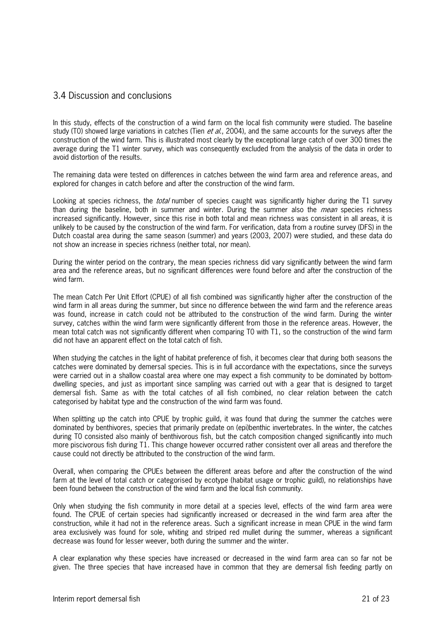### 3.4 Discussion and conclusions

In this study, effects of the construction of a wind farm on the local fish community were studied. The baseline study (T0) showed large variations in catches (Tien et al., 2004), and the same accounts for the surveys after the construction of the wind farm. This is illustrated most clearly by the exceptional large catch of over 300 times the average during the T1 winter survey, which was consequently excluded from the analysis of the data in order to avoid distortion of the results.

The remaining data were tested on differences in catches between the wind farm area and reference areas, and explored for changes in catch before and after the construction of the wind farm.

Looking at species richness, the *total* number of species caught was significantly higher during the T1 survey than during the baseline, both in summer and winter. During the summer also the *mean* species richness increased significantly. However, since this rise in both total and mean richness was consistent in all areas, it is unlikely to be caused by the construction of the wind farm. For verification, data from a routine survey (DFS) in the Dutch coastal area during the same season (summer) and years (2003, 2007) were studied, and these data do not show an increase in species richness (neither total, nor mean).

During the winter period on the contrary, the mean species richness did vary significantly between the wind farm area and the reference areas, but no significant differences were found before and after the construction of the wind farm.

The mean Catch Per Unit Effort (CPUE) of all fish combined was significantly higher after the construction of the wind farm in all areas during the summer, but since no difference between the wind farm and the reference areas was found, increase in catch could not be attributed to the construction of the wind farm. During the winter survey, catches within the wind farm were significantly different from those in the reference areas. However, the mean total catch was not significantly different when comparing T0 with T1, so the construction of the wind farm did not have an apparent effect on the total catch of fish.

When studying the catches in the light of habitat preference of fish, it becomes clear that during both seasons the catches were dominated by demersal species. This is in full accordance with the expectations, since the surveys were carried out in a shallow coastal area where one may expect a fish community to be dominated by bottom dwelling species, and just as important since sampling was carried out with a gear that is designed to target demersal fish. Same as with the total catches of all fish combined, no clear relation between the catch categorised by habitat type and the construction of the wind farm was found.

When splitting up the catch into CPUE by trophic guild, it was found that during the summer the catches were dominated by benthivores, species that primarily predate on (epi)benthic invertebrates. In the winter, the catches during T0 consisted also mainly of benthivorous fish, but the catch composition changed significantly into much more piscivorous fish during T1. This change however occurred rather consistent over all areas and therefore the cause could not directly be attributed to the construction of the wind farm.

Overall, when comparing the CPUEs between the different areas before and after the construction of the wind farm at the level of total catch or categorised by ecotype (habitat usage or trophic guild), no relationships have been found between the construction of the wind farm and the local fish community.

Only when studying the fish community in more detail at a species level, effects of the wind farm area were found. The CPUE of certain species had significantly increased or decreased in the wind farm area after the construction, while it had not in the reference areas. Such a significant increase in mean CPUE in the wind farm area exclusively was found for sole, whiting and striped red mullet during the summer, whereas a significant decrease was found for lesser weever, both during the summer and the winter.

A clear explanation why these species have increased or decreased in the wind farm area can so far not be given. The three species that have increased have in common that they are demersal fish feeding partly on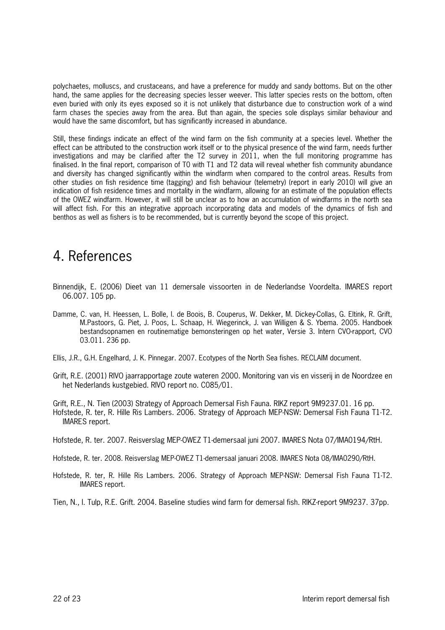polychaetes, molluscs, and crustaceans, and have a preference for muddy and sandy bottoms. But on the other hand, the same applies for the decreasing species lesser weever. This latter species rests on the bottom, often even buried with only its eyes exposed so it is not unlikely that disturbance due to construction work of a wind farm chases the species away from the area. But than again, the species sole displays similar behaviour and would have the same discomfort, but has significantly increased in abundance.

Still, these findings indicate an effect of the wind farm on the fish community at a species level. Whether the effect can be attributed to the construction work itself or to the physical presence of the wind farm, needs further investigations and may be clarified after the T2 survey in 2011, when the full monitoring programme has finalised. In the final report, comparison of T0 with T1 and T2 data will reveal whether fish community abundance and diversity has changed significantly within the windfarm when compared to the control areas. Results from other studies on fish residence time (tagging) and fish behaviour (telemetry) (report in early 2010) will give an indication of fish residence times and mortality in the windfarm, allowing for an estimate of the population effects of the OWEZ windfarm. However, it will still be unclear as to how an accumulation of windfarms in the north sea will affect fish. For this an integrative approach incorporating data and models of the dynamics of fish and benthos as well as fishers is to be recommended, but is currently beyond the scope of this project.

## 4. References

- Binnendijk, E. (2006) Dieet van 11 demersale vissoorten in de Nederlandse Voordelta. IMARES report 06.007. 105 pp.
- Damme, C. van, H. Heessen, L. Bolle, I. de Boois, B. Couperus, W. Dekker, M. Dickey-Collas, G. Eltink, R. Grift, M.Pastoors, G. Piet, J. Poos, L. Schaap, H. Wiegerinck, J. van Willigen & S. Ybema. 2005. Handboek bestandsopnamen en routinematige bemonsteringen op het water, Versie 3. Intern CVOrapport, CVO 03.011. 236 pp.
- Ellis, J.R., G.H. Engelhard, J. K. Pinnegar. 2007. Ecotypes of the North Sea fishes. RECLAIM document.
- Grift, R.E. (2001) RIVO jaarrapportage zoute wateren 2000. Monitoring van vis en visserij in de Noordzee en het Nederlands kustgebied. RIVO report no. C085/01.

Grift, R.E., N. Tien (2003) Strategy of Approach Demersal Fish Fauna. RIKZ report 9M9237.01. 16 pp. Hofstede, R. ter, R. Hille Ris Lambers. 2006. Strategy of Approach MEP-NSW: Demersal Fish Fauna T1-T2. IMARES report.

- Hofstede, R. ter. 2007. Reisverslag MEP-OWEZ T1-demersaal juni 2007. IMARES Nota 07/IMA0194/RtH.
- Hofstede, R. ter. 2008. Reisverslag MEP-OWEZ T1-demersaal januari 2008. IMARES Nota 08/IMA0290/RtH.
- Hofstede, R. ter, R. Hille Ris Lambers. 2006. Strategy of Approach MEP-NSW: Demersal Fish Fauna T1-T2. IMARES report.

Tien, N., I. Tulp, R.E. Grift. 2004. Baseline studies wind farm for demersal fish. RIKZ-report 9M9237. 37pp.